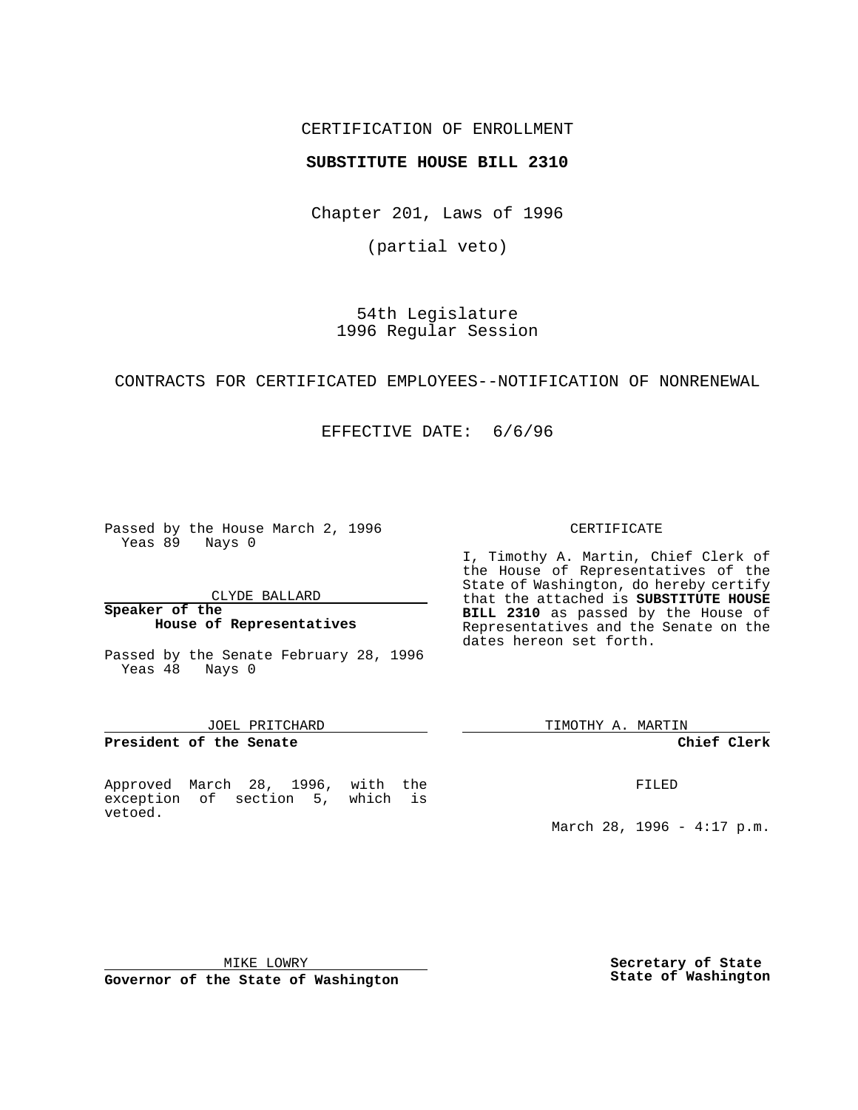# CERTIFICATION OF ENROLLMENT

# **SUBSTITUTE HOUSE BILL 2310**

Chapter 201, Laws of 1996

(partial veto)

54th Legislature 1996 Regular Session

#### CONTRACTS FOR CERTIFICATED EMPLOYEES--NOTIFICATION OF NONRENEWAL

EFFECTIVE DATE: 6/6/96

Passed by the House March 2, 1996 Yeas 89 Nays 0

CLYDE BALLARD

#### **Speaker of the House of Representatives**

Passed by the Senate February 28, 1996 Yeas 48 Nays 0

### JOEL PRITCHARD

**President of the Senate**

Approved March 28, 1996, with the exception of section 5, which is vetoed.

#### CERTIFICATE

I, Timothy A. Martin, Chief Clerk of the House of Representatives of the State of Washington, do hereby certify that the attached is **SUBSTITUTE HOUSE BILL 2310** as passed by the House of Representatives and the Senate on the dates hereon set forth.

TIMOTHY A. MARTIN

#### **Chief Clerk**

FILED

March 28, 1996 - 4:17 p.m.

MIKE LOWRY

**Governor of the State of Washington**

**Secretary of State State of Washington**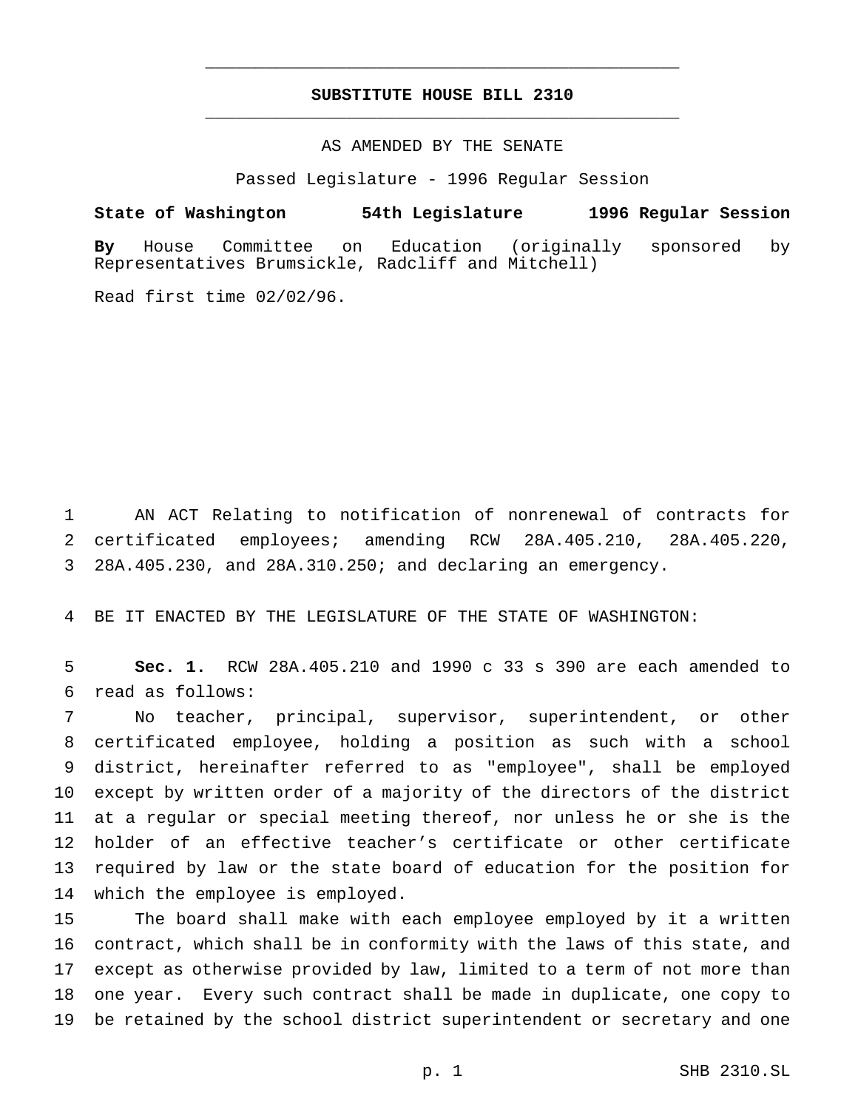# **SUBSTITUTE HOUSE BILL 2310** \_\_\_\_\_\_\_\_\_\_\_\_\_\_\_\_\_\_\_\_\_\_\_\_\_\_\_\_\_\_\_\_\_\_\_\_\_\_\_\_\_\_\_\_\_\_\_

\_\_\_\_\_\_\_\_\_\_\_\_\_\_\_\_\_\_\_\_\_\_\_\_\_\_\_\_\_\_\_\_\_\_\_\_\_\_\_\_\_\_\_\_\_\_\_

## AS AMENDED BY THE SENATE

Passed Legislature - 1996 Regular Session

# **State of Washington 54th Legislature 1996 Regular Session**

**By** House Committee on Education (originally sponsored by Representatives Brumsickle, Radcliff and Mitchell)

Read first time 02/02/96.

 AN ACT Relating to notification of nonrenewal of contracts for certificated employees; amending RCW 28A.405.210, 28A.405.220, 28A.405.230, and 28A.310.250; and declaring an emergency.

BE IT ENACTED BY THE LEGISLATURE OF THE STATE OF WASHINGTON:

 **Sec. 1.** RCW 28A.405.210 and 1990 c 33 s 390 are each amended to read as follows:

 No teacher, principal, supervisor, superintendent, or other certificated employee, holding a position as such with a school district, hereinafter referred to as "employee", shall be employed except by written order of a majority of the directors of the district at a regular or special meeting thereof, nor unless he or she is the holder of an effective teacher's certificate or other certificate required by law or the state board of education for the position for which the employee is employed.

 The board shall make with each employee employed by it a written contract, which shall be in conformity with the laws of this state, and except as otherwise provided by law, limited to a term of not more than one year. Every such contract shall be made in duplicate, one copy to be retained by the school district superintendent or secretary and one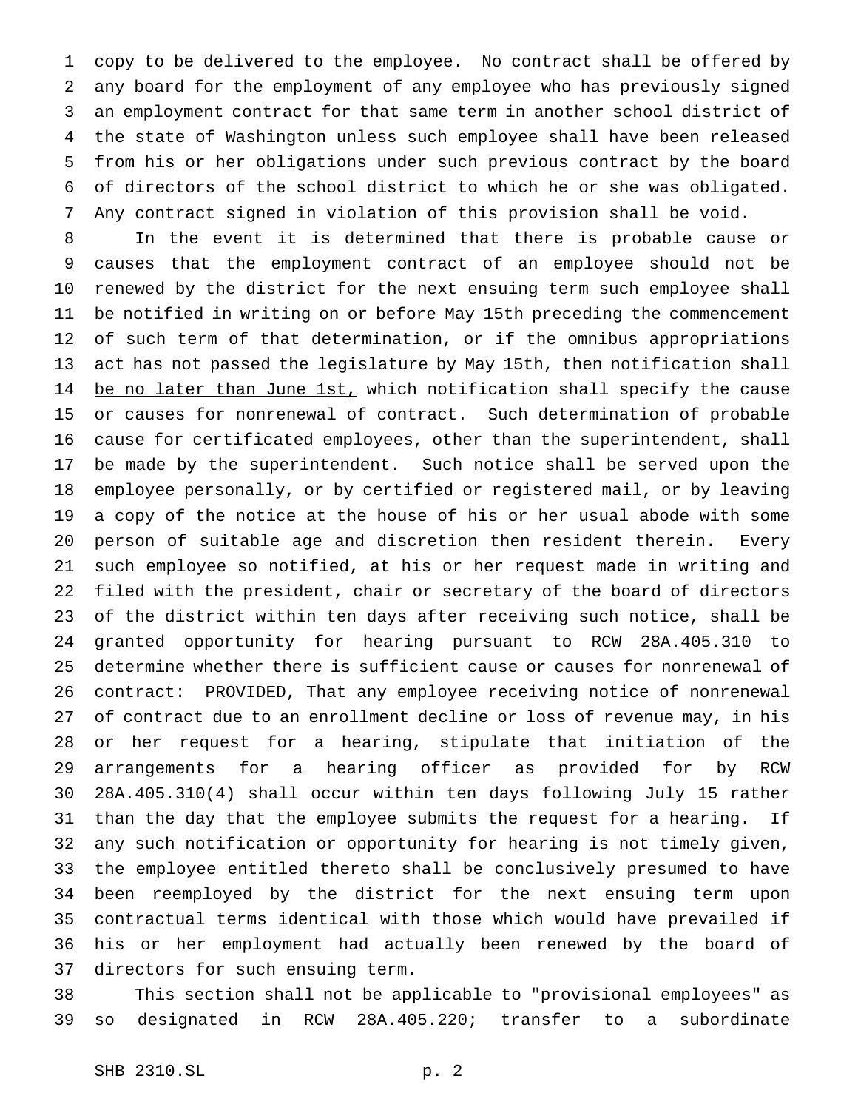copy to be delivered to the employee. No contract shall be offered by any board for the employment of any employee who has previously signed an employment contract for that same term in another school district of the state of Washington unless such employee shall have been released from his or her obligations under such previous contract by the board of directors of the school district to which he or she was obligated. Any contract signed in violation of this provision shall be void.

 In the event it is determined that there is probable cause or causes that the employment contract of an employee should not be renewed by the district for the next ensuing term such employee shall be notified in writing on or before May 15th preceding the commencement 12 of such term of that determination, or if the omnibus appropriations act has not passed the legislature by May 15th, then notification shall 14 be no later than June 1st, which notification shall specify the cause or causes for nonrenewal of contract. Such determination of probable cause for certificated employees, other than the superintendent, shall be made by the superintendent. Such notice shall be served upon the employee personally, or by certified or registered mail, or by leaving a copy of the notice at the house of his or her usual abode with some person of suitable age and discretion then resident therein. Every such employee so notified, at his or her request made in writing and filed with the president, chair or secretary of the board of directors of the district within ten days after receiving such notice, shall be granted opportunity for hearing pursuant to RCW 28A.405.310 to determine whether there is sufficient cause or causes for nonrenewal of contract: PROVIDED, That any employee receiving notice of nonrenewal of contract due to an enrollment decline or loss of revenue may, in his or her request for a hearing, stipulate that initiation of the arrangements for a hearing officer as provided for by RCW 28A.405.310(4) shall occur within ten days following July 15 rather than the day that the employee submits the request for a hearing. If any such notification or opportunity for hearing is not timely given, the employee entitled thereto shall be conclusively presumed to have been reemployed by the district for the next ensuing term upon contractual terms identical with those which would have prevailed if his or her employment had actually been renewed by the board of directors for such ensuing term.

 This section shall not be applicable to "provisional employees" as so designated in RCW 28A.405.220; transfer to a subordinate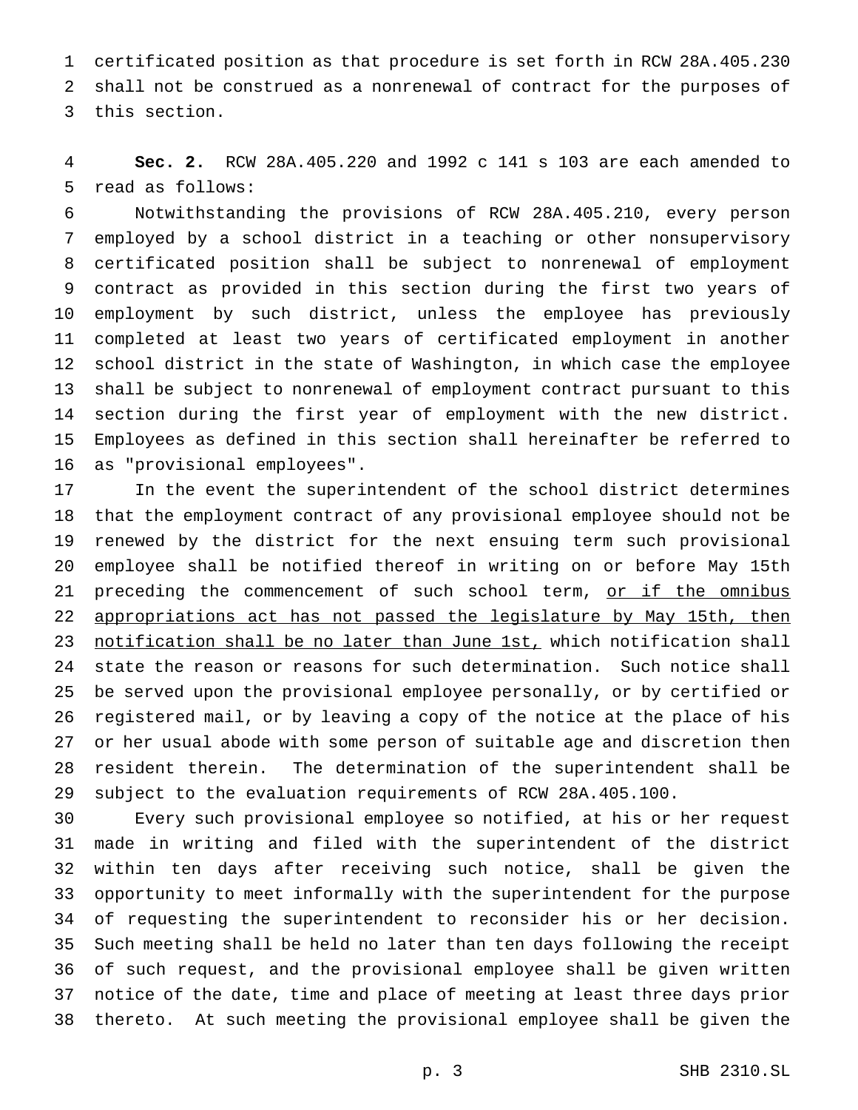certificated position as that procedure is set forth in RCW 28A.405.230 shall not be construed as a nonrenewal of contract for the purposes of this section.

 **Sec. 2.** RCW 28A.405.220 and 1992 c 141 s 103 are each amended to read as follows:

 Notwithstanding the provisions of RCW 28A.405.210, every person employed by a school district in a teaching or other nonsupervisory certificated position shall be subject to nonrenewal of employment contract as provided in this section during the first two years of employment by such district, unless the employee has previously completed at least two years of certificated employment in another school district in the state of Washington, in which case the employee shall be subject to nonrenewal of employment contract pursuant to this section during the first year of employment with the new district. Employees as defined in this section shall hereinafter be referred to as "provisional employees".

 In the event the superintendent of the school district determines that the employment contract of any provisional employee should not be renewed by the district for the next ensuing term such provisional employee shall be notified thereof in writing on or before May 15th 21 preceding the commencement of such school term, or if the omnibus 22 appropriations act has not passed the legislature by May 15th, then notification shall be no later than June 1st, which notification shall state the reason or reasons for such determination. Such notice shall be served upon the provisional employee personally, or by certified or registered mail, or by leaving a copy of the notice at the place of his or her usual abode with some person of suitable age and discretion then resident therein. The determination of the superintendent shall be subject to the evaluation requirements of RCW 28A.405.100.

 Every such provisional employee so notified, at his or her request made in writing and filed with the superintendent of the district within ten days after receiving such notice, shall be given the opportunity to meet informally with the superintendent for the purpose of requesting the superintendent to reconsider his or her decision. Such meeting shall be held no later than ten days following the receipt of such request, and the provisional employee shall be given written notice of the date, time and place of meeting at least three days prior thereto. At such meeting the provisional employee shall be given the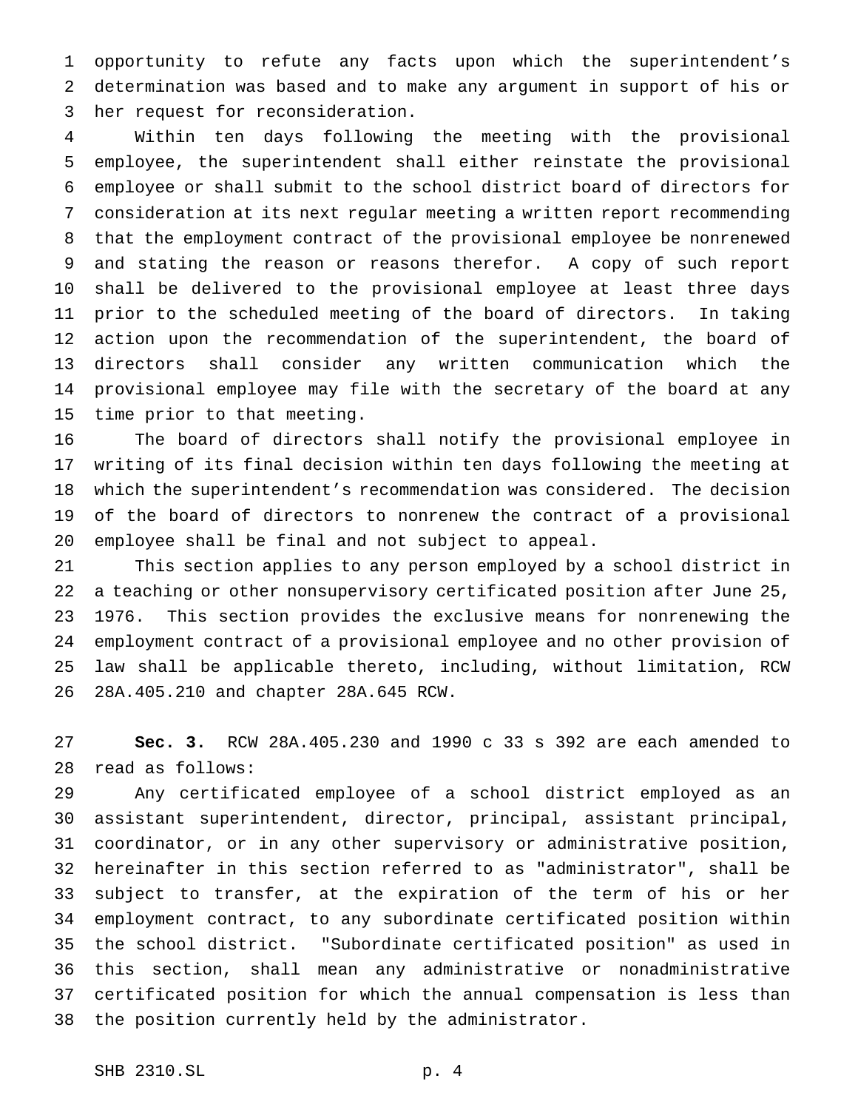opportunity to refute any facts upon which the superintendent's determination was based and to make any argument in support of his or her request for reconsideration.

 Within ten days following the meeting with the provisional employee, the superintendent shall either reinstate the provisional employee or shall submit to the school district board of directors for consideration at its next regular meeting a written report recommending that the employment contract of the provisional employee be nonrenewed and stating the reason or reasons therefor. A copy of such report shall be delivered to the provisional employee at least three days prior to the scheduled meeting of the board of directors. In taking action upon the recommendation of the superintendent, the board of directors shall consider any written communication which the provisional employee may file with the secretary of the board at any time prior to that meeting.

 The board of directors shall notify the provisional employee in writing of its final decision within ten days following the meeting at which the superintendent's recommendation was considered. The decision of the board of directors to nonrenew the contract of a provisional employee shall be final and not subject to appeal.

 This section applies to any person employed by a school district in a teaching or other nonsupervisory certificated position after June 25, 1976. This section provides the exclusive means for nonrenewing the employment contract of a provisional employee and no other provision of law shall be applicable thereto, including, without limitation, RCW 28A.405.210 and chapter 28A.645 RCW.

 **Sec. 3.** RCW 28A.405.230 and 1990 c 33 s 392 are each amended to read as follows:

 Any certificated employee of a school district employed as an assistant superintendent, director, principal, assistant principal, coordinator, or in any other supervisory or administrative position, hereinafter in this section referred to as "administrator", shall be subject to transfer, at the expiration of the term of his or her employment contract, to any subordinate certificated position within the school district. "Subordinate certificated position" as used in this section, shall mean any administrative or nonadministrative certificated position for which the annual compensation is less than the position currently held by the administrator.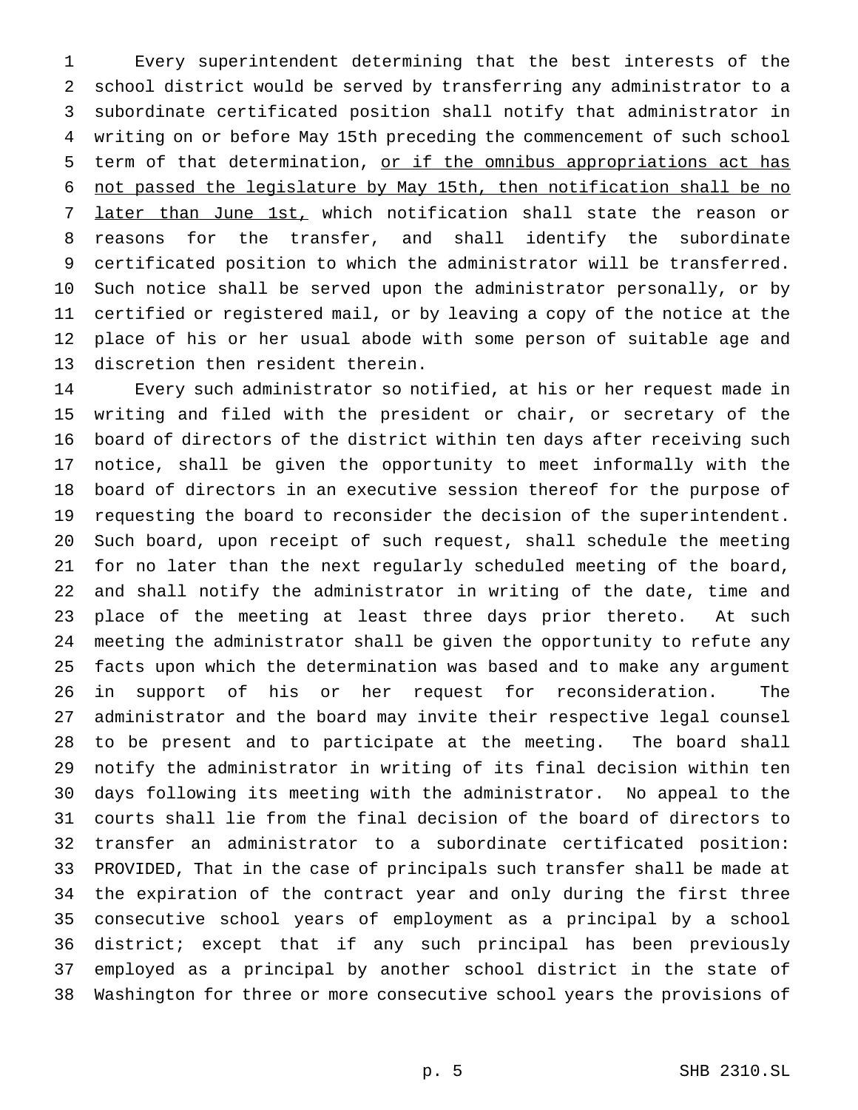Every superintendent determining that the best interests of the school district would be served by transferring any administrator to a subordinate certificated position shall notify that administrator in writing on or before May 15th preceding the commencement of such school term of that determination, or if the omnibus appropriations act has not passed the legislature by May 15th, then notification shall be no later than June 1st, which notification shall state the reason or reasons for the transfer, and shall identify the subordinate certificated position to which the administrator will be transferred. Such notice shall be served upon the administrator personally, or by certified or registered mail, or by leaving a copy of the notice at the place of his or her usual abode with some person of suitable age and discretion then resident therein.

 Every such administrator so notified, at his or her request made in writing and filed with the president or chair, or secretary of the board of directors of the district within ten days after receiving such notice, shall be given the opportunity to meet informally with the board of directors in an executive session thereof for the purpose of requesting the board to reconsider the decision of the superintendent. Such board, upon receipt of such request, shall schedule the meeting for no later than the next regularly scheduled meeting of the board, and shall notify the administrator in writing of the date, time and place of the meeting at least three days prior thereto. At such meeting the administrator shall be given the opportunity to refute any facts upon which the determination was based and to make any argument in support of his or her request for reconsideration. The administrator and the board may invite their respective legal counsel to be present and to participate at the meeting. The board shall notify the administrator in writing of its final decision within ten days following its meeting with the administrator. No appeal to the courts shall lie from the final decision of the board of directors to transfer an administrator to a subordinate certificated position: PROVIDED, That in the case of principals such transfer shall be made at the expiration of the contract year and only during the first three consecutive school years of employment as a principal by a school district; except that if any such principal has been previously employed as a principal by another school district in the state of Washington for three or more consecutive school years the provisions of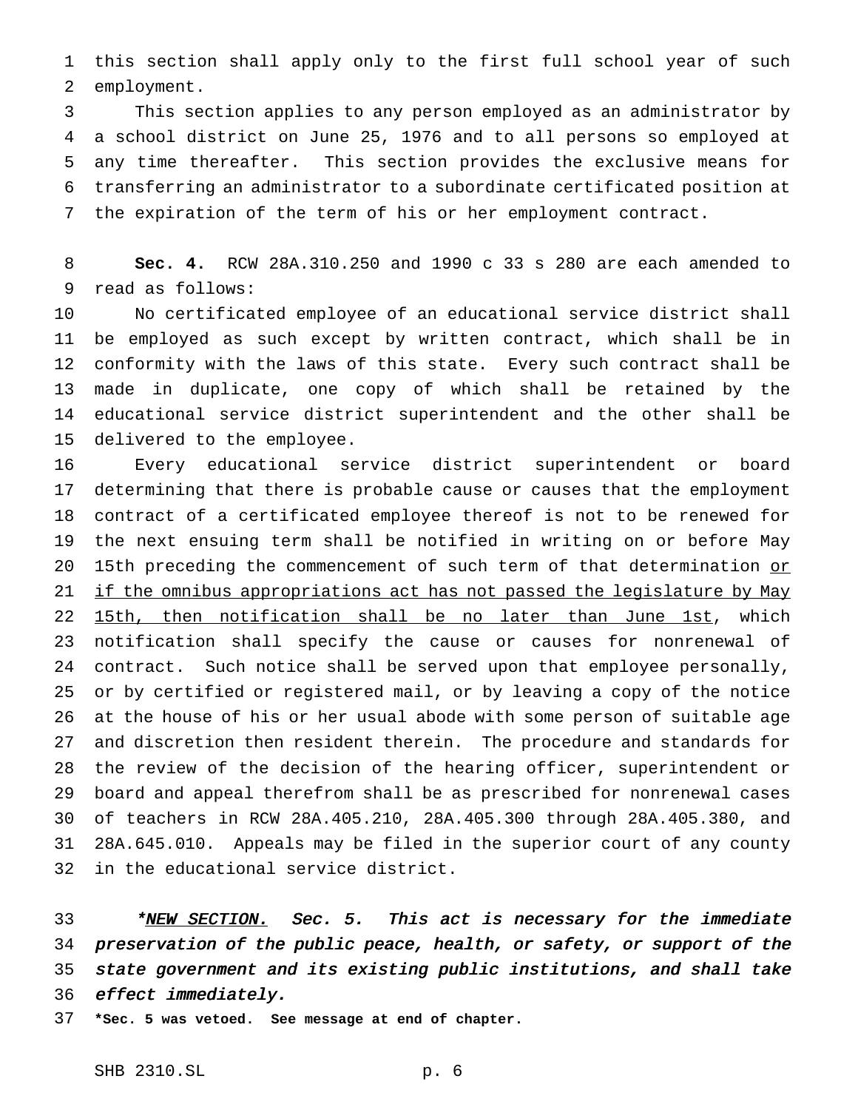this section shall apply only to the first full school year of such employment.

 This section applies to any person employed as an administrator by a school district on June 25, 1976 and to all persons so employed at any time thereafter. This section provides the exclusive means for transferring an administrator to a subordinate certificated position at the expiration of the term of his or her employment contract.

 **Sec. 4.** RCW 28A.310.250 and 1990 c 33 s 280 are each amended to read as follows:

 No certificated employee of an educational service district shall be employed as such except by written contract, which shall be in conformity with the laws of this state. Every such contract shall be made in duplicate, one copy of which shall be retained by the educational service district superintendent and the other shall be delivered to the employee.

 Every educational service district superintendent or board determining that there is probable cause or causes that the employment contract of a certificated employee thereof is not to be renewed for the next ensuing term shall be notified in writing on or before May 20 15th preceding the commencement of such term of that determination or 21 if the omnibus appropriations act has not passed the legislature by May 15th, then notification shall be no later than June 1st, which notification shall specify the cause or causes for nonrenewal of contract. Such notice shall be served upon that employee personally, or by certified or registered mail, or by leaving a copy of the notice at the house of his or her usual abode with some person of suitable age and discretion then resident therein. The procedure and standards for the review of the decision of the hearing officer, superintendent or board and appeal therefrom shall be as prescribed for nonrenewal cases of teachers in RCW 28A.405.210, 28A.405.300 through 28A.405.380, and 28A.645.010. Appeals may be filed in the superior court of any county in the educational service district.

33 \*NEW SECTION. Sec. 5. This act is necessary for the immediate preservation of the public peace, health, or safety, or support of the state government and its existing public institutions, and shall take effect immediately.

**\*Sec. 5 was vetoed. See message at end of chapter.**